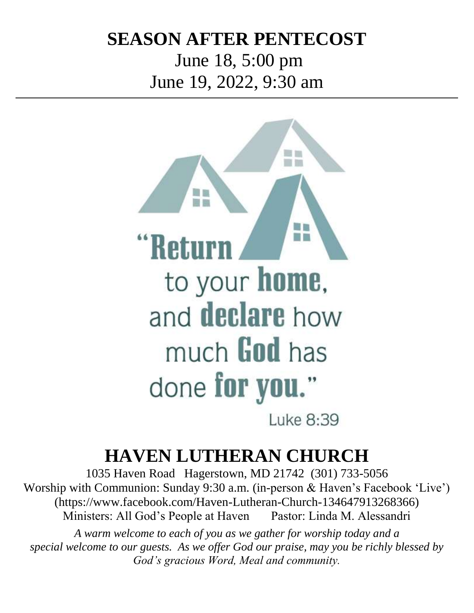# **SEASON AFTER PENTECOST**

June 18, 5:00 pm June 19, 2022, 9:30 am



# **HAVEN LUTHERAN CHURCH**

1035 Haven Road Hagerstown, MD 21742 (301) 733-5056 Worship with Communion: Sunday 9:30 a.m. (in-person & Haven's Facebook 'Live') (https://www.facebook.com/Haven-Lutheran-Church-134647913268366) Ministers: All God's People at Haven Pastor: Linda M. Alessandri

*A warm welcome to each of you as we gather for worship today and a special welcome to our guests. As we offer God our praise, may you be richly blessed by God's gracious Word, Meal and community.*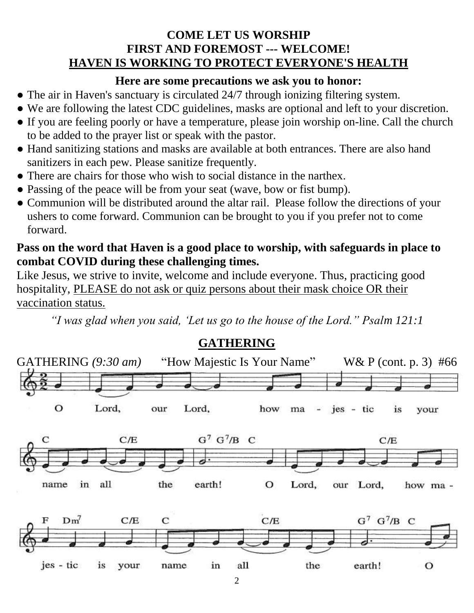#### **COME LET US WORSHIP FIRST AND FOREMOST --- WELCOME! HAVEN IS WORKING TO PROTECT EVERYONE'S HEALTH**

#### **Here are some precautions we ask you to honor:**

- The air in Haven's sanctuary is circulated 24/7 through ionizing filtering system.
- We are following the latest CDC guidelines, masks are optional and left to your discretion.
- If you are feeling poorly or have a temperature, please join worship on-line. Call the church to be added to the prayer list or speak with the pastor.
- Hand sanitizing stations and masks are available at both entrances. There are also hand sanitizers in each pew. Please sanitize frequently.
- There are chairs for those who wish to social distance in the narthex.
- Passing of the peace will be from your seat (wave, bow or fist bump).
- Communion will be distributed around the altar rail. Please follow the directions of your ushers to come forward. Communion can be brought to you if you prefer not to come forward.

#### **Pass on the word that Haven is a good place to worship, with safeguards in place to combat COVID during these challenging times.**

Like Jesus, we strive to invite, welcome and include everyone. Thus, practicing good hospitality, PLEASE do not ask or quiz persons about their mask choice OR their vaccination status.

*"I was glad when you said, 'Let us go to the house of the Lord." Psalm 121:1*



 $\mathfrak{D}$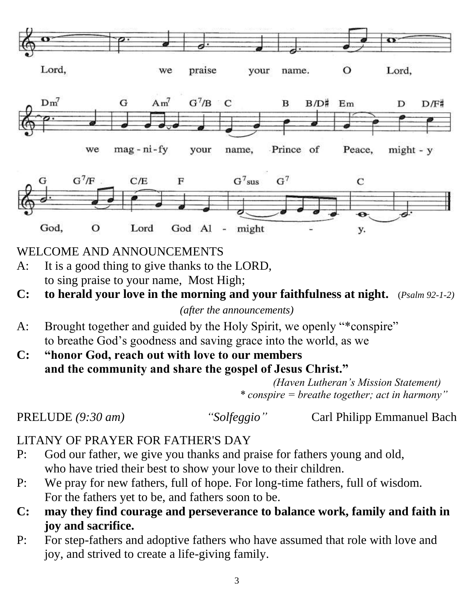

### WELCOME AND ANNOUNCEMENTS

- A: It is a good thing to give thanks to the LORD, to sing praise to your name, Most High;
- **C: to herald your love in the morning and your faithfulness at night.** (*Psalm 92-1-2)*

*(after the announcements)*

- A: Brought together and guided by the Holy Spirit, we openly "\*conspire" to breathe God's goodness and saving grace into the world, as we
- **C: "honor God, reach out with love to our members and the community and share the gospel of Jesus Christ."**

 *(Haven Lutheran's Mission Statement) \* conspire = breathe together; act in harmony"*

PRELUDE *(9:30 am) "Solfeggio"* Carl Philipp Emmanuel Bach

# LITANY OF PRAYER FOR FATHER'S DAY

- P: God our father, we give you thanks and praise for fathers young and old, who have tried their best to show your love to their children.
- P: We pray for new fathers, full of hope. For long-time fathers, full of wisdom. For the fathers yet to be, and fathers soon to be.
- **C: may they find courage and perseverance to balance work, family and faith in joy and sacrifice.**
- P: For step-fathers and adoptive fathers who have assumed that role with love and joy, and strived to create a life-giving family.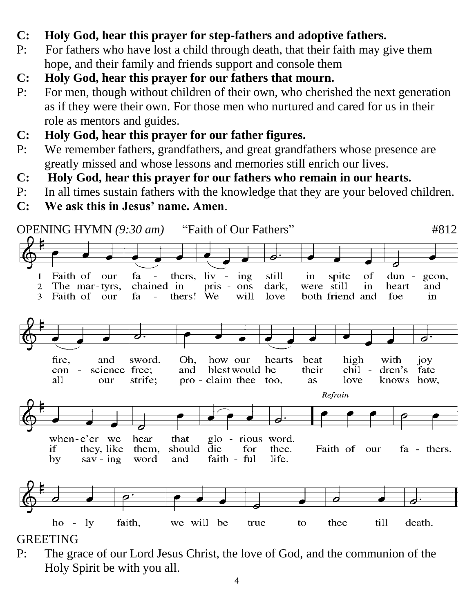- **C: Holy God, hear this prayer for step-fathers and adoptive fathers.**
- P: For fathers who have lost a child through death, that their faith may give them hope, and their family and friends support and console them
- **C: Holy God, hear this prayer for our fathers that mourn.**
- P: For men, though without children of their own, who cherished the next generation as if they were their own. For those men who nurtured and cared for us in their role as mentors and guides.
- **C: Holy God, hear this prayer for our father figures.**
- P: We remember fathers, grandfathers, and great grandfathers whose presence are greatly missed and whose lessons and memories still enrich our lives.
- **C: Holy God, hear this prayer for our fathers who remain in our hearts.**
- P: In all times sustain fathers with the knowledge that they are your beloved children.
- **C: We ask this in Jesus' name. Amen**.



### GREETING

P: The grace of our Lord Jesus Christ, the love of God, and the communion of the Holy Spirit be with you all.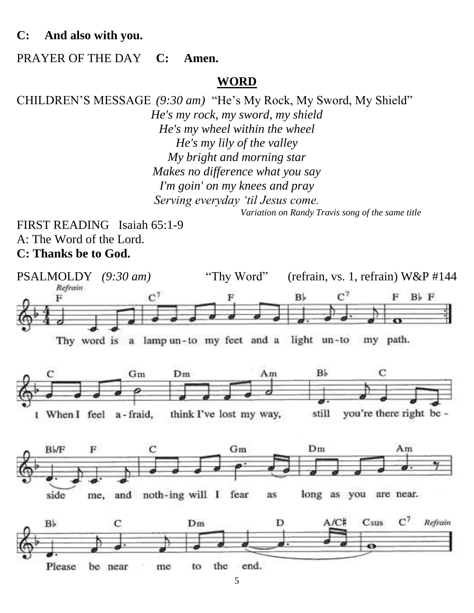#### **C: And also with you.**

#### PRAYER OF THE DAY **C: Amen.**

#### **WORD**

CHILDREN'S MESSAGE *(9:30 am)* "He's My Rock, My Sword, My Shield" *He's my rock, my sword, my shield He's my wheel within the wheel He's my lily of the valley My bright and morning star Makes no difference what you say I'm goin' on my knees and pray Serving everyday 'til Jesus come. Variation on Randy Travis song of the same title*

FIRST READING Isaiah 65:1-9 A: The Word of the Lord. **C: Thanks be to God.**

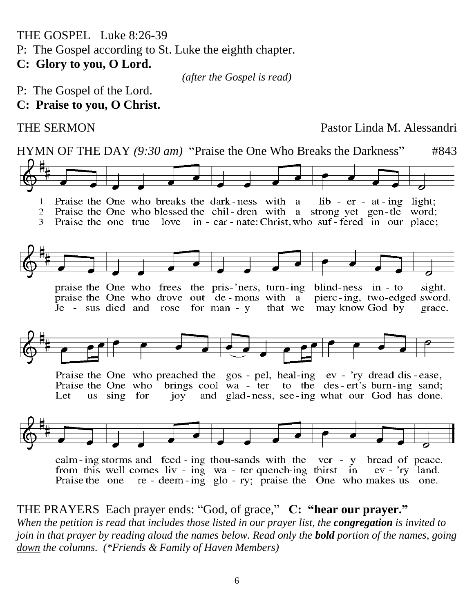THE GOSPEL Luke 8:26-39

P: The Gospel according to St. Luke the eighth chapter.

**C: Glory to you, O Lord.**

*(after the Gospel is read)*

- P: The Gospel of the Lord.
- **C: Praise to you, O Christ.**

THE SERMON Pastor Linda M. Alessandri



THE PRAYERS Each prayer ends: "God, of grace," **C: "hear our prayer."** *When the petition is read that includes those listed in our prayer list, the congregation is invited to join in that prayer by reading aloud the names below. Read only the bold portion of the names, going down the columns. (\*Friends & Family of Haven Members)*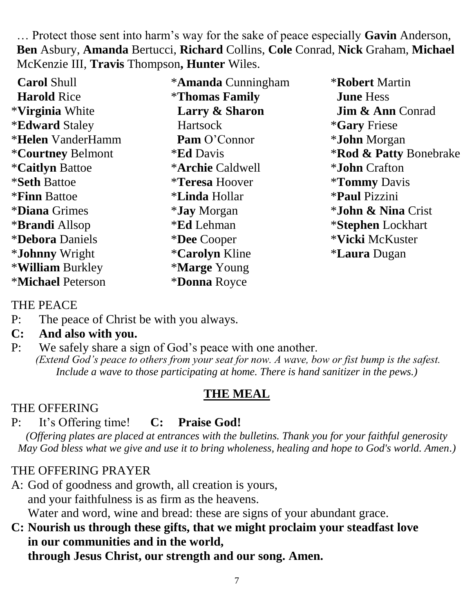… Protect those sent into harm's way for the sake of peace especially **Gavin** Anderson, **Ben** Asbury, **Amanda** Bertucci, **Richard** Collins, **Cole** Conrad, **Nick** Graham, **Michael** McKenzie III, **Travis** Thompson**, Hunter** Wiles.

 **Carol** Shull  **Harold** Rice \***Virginia** White \***Edward** Staley \***Helen** VanderHamm \***Courtney** Belmont \***Caitlyn** Battoe \***Seth** Battoe \***Finn** Battoe \***Diana** Grimes \***Brandi** Allsop \***Debora** Daniels \***Johnny** Wright \***William** Burkley \***Michael** Peterson

\***Amanda** Cunningham \***Thomas Family Larry & Sharon Hartsock Pam** O'Connor \***Ed** Davis \***Archie** Caldwell \***Teresa** Hoover \***Linda** Hollar \***Jay** Morgan \***Ed** Lehman \***Dee** Cooper \***Carolyn** Kline \***Marge** Young \***Donna** Royce

\***Robert** Martin **June** Hess **Jim & Ann** Conrad \***Gary** Friese \***John** Morgan \***Rod & Patty** Bonebrake \***John** Crafton \***Tommy** Davis \***Paul** Pizzini \***John & Nina** Crist \***Stephen** Lockhart \***Vicki** McKuster \***Laura** Dugan

THE PEACE

P: The peace of Christ be with you always.

#### **C: And also with you.**

P: We safely share a sign of God's peace with one another. *(Extend God's peace to others from your seat for now. A wave, bow or fist bump is the safest. Include a wave to those participating at home. There is hand sanitizer in the pews.)*

# **THE MEAL**

# THE OFFERING

# P: It's Offering time! **C: Praise God!**

*(Offering plates are placed at entrances with the bulletins. Thank you for your faithful generosity May God bless what we give and use it to bring wholeness, healing and hope to God's world. Amen.)*

# THE OFFERING PRAYER

A: God of goodness and growth, all creation is yours, and your faithfulness is as firm as the heavens. Water and word, wine and bread: these are signs of your abundant grace.

#### **C: Nourish us through these gifts, that we might proclaim your steadfast love in our communities and in the world, through Jesus Christ, our strength and our song. Amen.**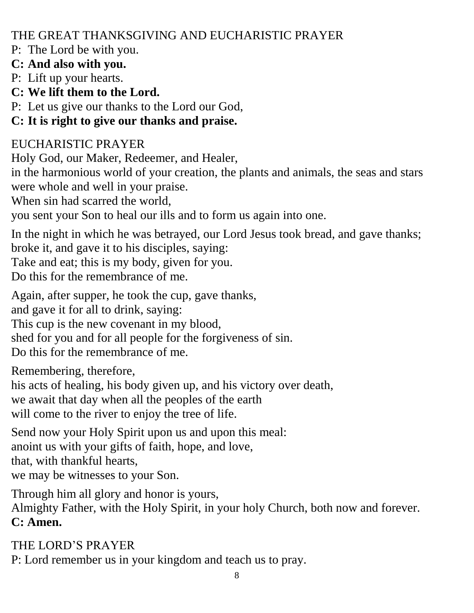THE GREAT THANKSGIVING AND EUCHARISTIC PRAYER

P: The Lord be with you.

### **C: And also with you.**

P: Lift up your hearts.

**C: We lift them to the Lord.**

P: Let us give our thanks to the Lord our God,

# **C: It is right to give our thanks and praise.**

# EUCHARISTIC PRAYER

Holy God, our Maker, Redeemer, and Healer,

in the harmonious world of your creation, the plants and animals, the seas and stars were whole and well in your praise.

When sin had scarred the world,

you sent your Son to heal our ills and to form us again into one.

In the night in which he was betrayed, our Lord Jesus took bread, and gave thanks; broke it, and gave it to his disciples, saying:

Take and eat; this is my body, given for you.

Do this for the remembrance of me.

Again, after supper, he took the cup, gave thanks, and gave it for all to drink, saying: This cup is the new covenant in my blood, shed for you and for all people for the forgiveness of sin.

Do this for the remembrance of me.

Remembering, therefore,

his acts of healing, his body given up, and his victory over death,

we await that day when all the peoples of the earth

will come to the river to enjoy the tree of life.

Send now your Holy Spirit upon us and upon this meal: anoint us with your gifts of faith, hope, and love, that, with thankful hearts, we may be witnesses to your Son.

Through him all glory and honor is yours,

Almighty Father, with the Holy Spirit, in your holy Church, both now and forever. **C: Amen.**

THE LORD'S PRAYER P: Lord remember us in your kingdom and teach us to pray.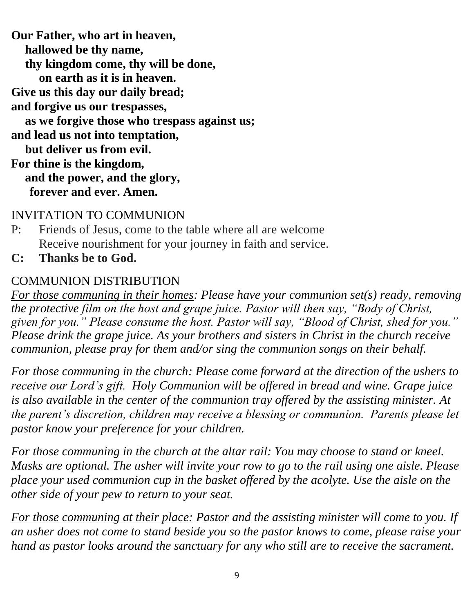**Our Father, who art in heaven, hallowed be thy name, thy kingdom come, thy will be done, on earth as it is in heaven. Give us this day our daily bread; and forgive us our trespasses, as we forgive those who trespass against us; and lead us not into temptation, but deliver us from evil. For thine is the kingdom, and the power, and the glory, forever and ever. Amen.**

### INVITATION TO COMMUNION

- P: Friends of Jesus, come to the table where all are welcome Receive nourishment for your journey in faith and service.
- **C: Thanks be to God.**

### COMMUNION DISTRIBUTION

*For those communing in their homes: Please have your communion set(s) ready, removing the protective film on the host and grape juice. Pastor will then say, "Body of Christ, given for you." Please consume the host. Pastor will say, "Blood of Christ, shed for you." Please drink the grape juice. As your brothers and sisters in Christ in the church receive communion, please pray for them and/or sing the communion songs on their behalf.*

*For those communing in the church: Please come forward at the direction of the ushers to receive our Lord's gift. Holy Communion will be offered in bread and wine. Grape juice is also available in the center of the communion tray offered by the assisting minister. At the parent's discretion, children may receive a blessing or communion. Parents please let pastor know your preference for your children.* 

*For those communing in the church at the altar rail: You may choose to stand or kneel. Masks are optional. The usher will invite your row to go to the rail using one aisle. Please place your used communion cup in the basket offered by the acolyte. Use the aisle on the other side of your pew to return to your seat.* 

*For those communing at their place: Pastor and the assisting minister will come to you. If an usher does not come to stand beside you so the pastor knows to come, please raise your hand as pastor looks around the sanctuary for any who still are to receive the sacrament.*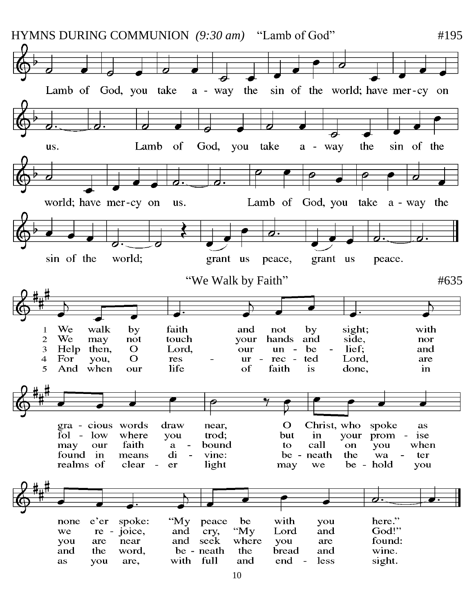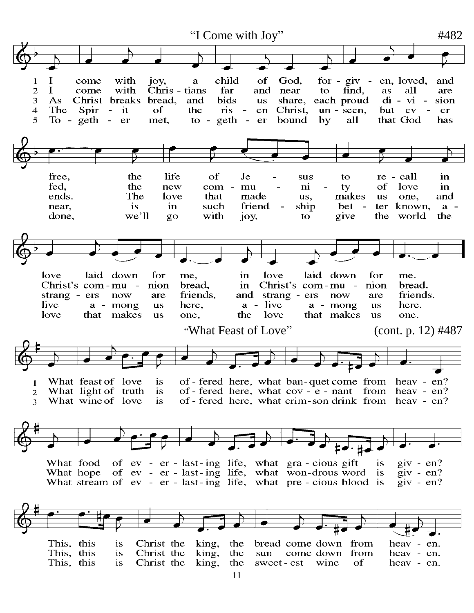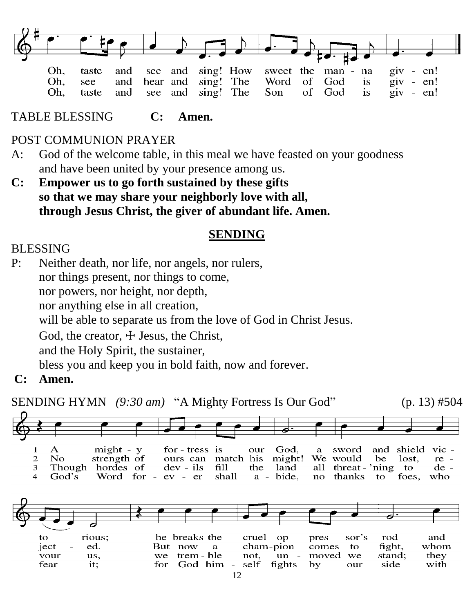

TABLE BLESSING **C: Amen.**

#### POST COMMUNION PRAYER

- A: God of the welcome table, in this meal we have feasted on your goodness and have been united by your presence among us.
- **C: Empower us to go forth sustained by these gifts so that we may share your neighborly love with all, through Jesus Christ, the giver of abundant life. Amen.**

#### **SENDING**

#### BLESSING

P: Neither death, nor life, nor angels, nor rulers, nor things present, nor things to come, nor powers, nor height, nor depth, nor anything else in all creation, will be able to separate us from the love of God in Christ Jesus. God, the creator,  $\pm$  Jesus, the Christ, and the Holy Spirit, the sustainer, bless you and keep you in bold faith, now and forever.

**C: Amen.**

SENDING HYMN *(9:30 am)* "A Mighty Fortress Is Our God" (p. 13) #504

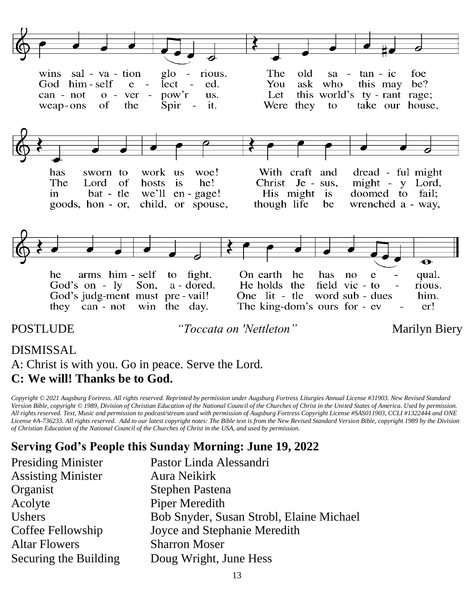

#### DISMISSAL

A: Christ is with you. Go in peace. Serve the Lord. **C: We will! Thanks be to God.**

*Copyright © 2021 Augsburg Fortress. All rights reserved. Reprinted by permission under Augsburg Fortress Liturgies Annual License #31903. New Revised Standard Version Bible, copyright © 1989, Division of Christian Education of the National Council of the Churches of Christ in the United States of America. Used by permission. All rights reserved. Text, Music and permission to podcast/stream used with permission of Augsburg Fortress Copyright License #SAS011903, CCLI #1322444 and ONE License #A-736233. All rights reserved. Add to our latest copyright notes: The Bible text is from the New Revised Standard Version Bible, copyright 1989 by the Division of Christian Education of the National Council of the Churches of Christ in the USA, and used by permission.*

#### **Serving God's People this Sunday Morning: June 19, 2022**

| <b>Presiding Minister</b> | Pastor Linda Alessandri                  |
|---------------------------|------------------------------------------|
| <b>Assisting Minister</b> | Aura Neikirk                             |
| Organist                  | Stephen Pastena                          |
| Acolyte                   | <b>Piper Meredith</b>                    |
| <b>Ushers</b>             | Bob Snyder, Susan Strobl, Elaine Michael |
| Coffee Fellowship         | Joyce and Stephanie Meredith             |
| <b>Altar Flowers</b>      | <b>Sharron Moser</b>                     |
| Securing the Building     | Doug Wright, June Hess                   |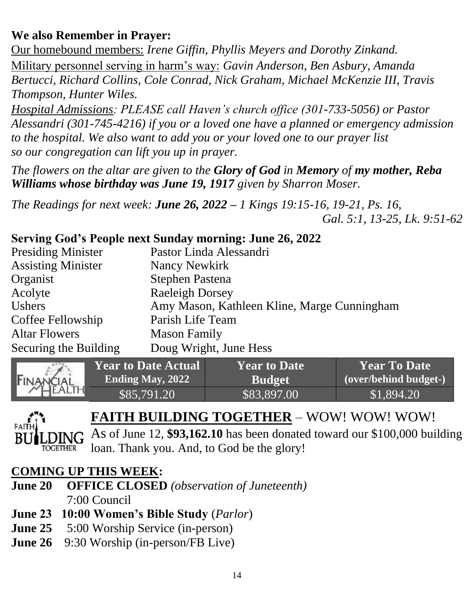# **We also Remember in Prayer:**

Our homebound members: *Irene Giffin, Phyllis Meyers and Dorothy Zinkand.* Military personnel serving in harm's way: *Gavin Anderson, Ben Asbury, Amanda Bertucci, Richard Collins, Cole Conrad, Nick Graham, Michael McKenzie III, Travis Thompson, Hunter Wiles.* 

*Hospital Admissions: PLEASE call Haven's church office (301-733-5056) or Pastor Alessandri (301-745-4216) if you or a loved one have a planned or emergency admission to the hospital. We also want to add you or your loved one to our prayer list so our congregation can lift you up in prayer.*

*The flowers on the altar are given to the Glory of God in Memory of my mother, Reba Williams whose birthday was June 19, 1917 given by Sharron Moser.*

*The Readings for next week: June 26, 2022 – 1 Kings 19:15-16, 19-21, Ps. 16, Gal. 5:1, 13-25, Lk. 9:51-62*

### **Serving God's People next Sunday morning: June 26, 2022**

| Pastor Linda Alessandri                     |
|---------------------------------------------|
| Nancy Newkirk                               |
| <b>Stephen Pastena</b>                      |
| <b>Raeleigh Dorsey</b>                      |
| Amy Mason, Kathleen Kline, Marge Cunningham |
| Parish Life Team                            |
| <b>Mason Family</b>                         |
| Doug Wright, June Hess                      |
|                                             |





# **FAITH BUILDING TOGETHER** – WOW! WOW! WOW!

As of June 12, **\$93,162.10** has been donated toward our \$100,000 building loan. Thank you. And, to God be the glory!

### **COMING UP THIS WEEK:**

- **June 20 OFFICE CLOSED** *(observation of Juneteenth)* 7:00 Council
- **June 23 10:00 Women's Bible Study** (*Parlor*)
- **June 25** 5:00 Worship Service (in-person)
- **June 26** 9:30 Worship (in-person/FB Live)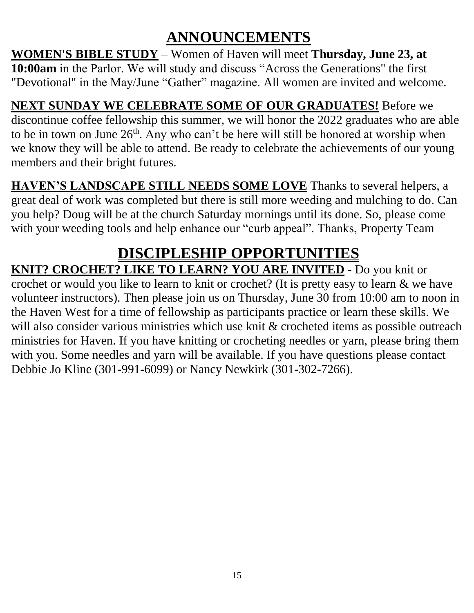# **ANNOUNCEMENTS**

**WOMEN'S BIBLE STUDY** – Women of Haven will meet **Thursday, June 23, at 10:00am** in the Parlor. We will study and discuss "Across the Generations" the first "Devotional" in the May/June "Gather" magazine. All women are invited and welcome.

**NEXT SUNDAY WE CELEBRATE SOME OF OUR GRADUATES!** Before we discontinue coffee fellowship this summer, we will honor the 2022 graduates who are able to be in town on June  $26<sup>th</sup>$ . Any who can't be here will still be honored at worship when we know they will be able to attend. Be ready to celebrate the achievements of our young members and their bright futures.

**HAVEN'S LANDSCAPE STILL NEEDS SOME LOVE** Thanks to several helpers, a great deal of work was completed but there is still more weeding and mulching to do. Can you help? Doug will be at the church Saturday mornings until its done. So, please come with your weeding tools and help enhance our "curb appeal". Thanks, Property Team

# **DISCIPLESHIP OPPORTUNITIES**

# **KNIT? CROCHET? LIKE TO LEARN? YOU ARE INVITED** - Do you knit or

crochet or would you like to learn to knit or crochet? (It is pretty easy to learn & we have volunteer instructors). Then please join us on Thursday, June 30 from 10:00 am to noon in the Haven West for a time of fellowship as participants practice or learn these skills. We will also consider various ministries which use knit & crocheted items as possible outreach ministries for Haven. If you have knitting or crocheting needles or yarn, please bring them with you. Some needles and yarn will be available. If you have questions please contact Debbie Jo Kline (301-991-6099) or Nancy Newkirk (301-302-7266).